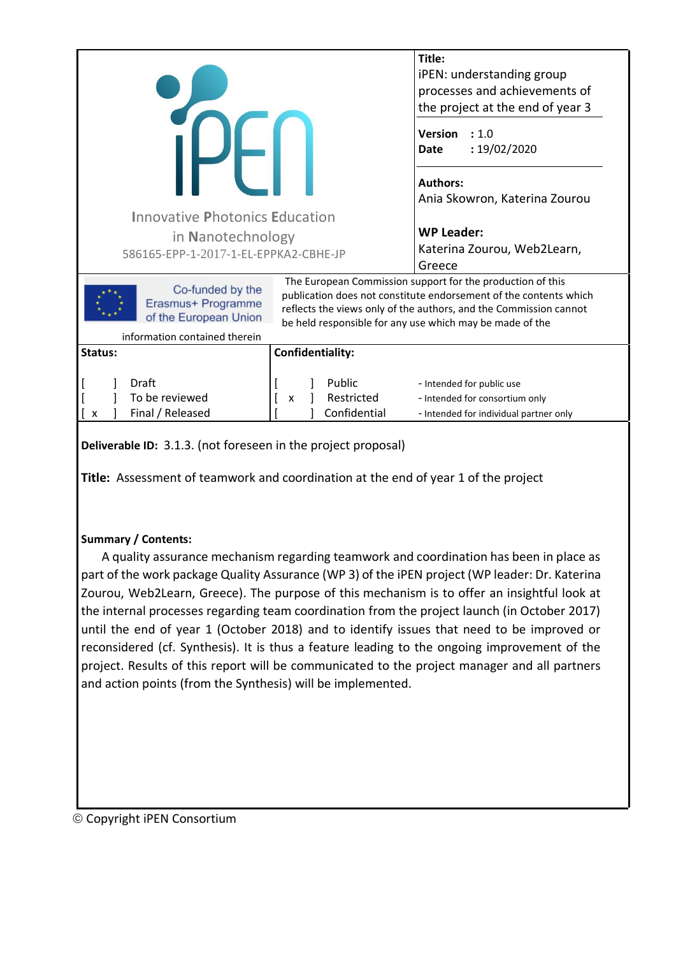|                                                                 |                                           | Title:                                                                                                                                                                                                                                                           |  |
|-----------------------------------------------------------------|-------------------------------------------|------------------------------------------------------------------------------------------------------------------------------------------------------------------------------------------------------------------------------------------------------------------|--|
|                                                                 | iPEN: understanding group                 |                                                                                                                                                                                                                                                                  |  |
|                                                                 |                                           | processes and achievements of                                                                                                                                                                                                                                    |  |
|                                                                 | the project at the end of year 3          |                                                                                                                                                                                                                                                                  |  |
|                                                                 |                                           | <b>Version</b><br>: 1.0<br>: 19/02/2020<br><b>Date</b>                                                                                                                                                                                                           |  |
|                                                                 |                                           | <b>Authors:</b>                                                                                                                                                                                                                                                  |  |
|                                                                 |                                           | Ania Skowron, Katerina Zourou                                                                                                                                                                                                                                    |  |
| <b>Innovative Photonics Education</b>                           |                                           |                                                                                                                                                                                                                                                                  |  |
| in Nanotechnology                                               |                                           | <b>WP Leader:</b>                                                                                                                                                                                                                                                |  |
| 586165-EPP-1-2017-1-EL-EPPKA2-CBHE-JP                           |                                           | Katerina Zourou, Web2Learn,                                                                                                                                                                                                                                      |  |
|                                                                 |                                           | Greece                                                                                                                                                                                                                                                           |  |
| Co-funded by the<br>Erasmus+ Programme<br>of the European Union |                                           | The European Commission support for the production of this<br>publication does not constitute endorsement of the contents which<br>reflects the views only of the authors, and the Commission cannot<br>be held responsible for any use which may be made of the |  |
| information contained therein                                   |                                           |                                                                                                                                                                                                                                                                  |  |
| Confidentiality:<br>Status:                                     |                                           |                                                                                                                                                                                                                                                                  |  |
| Draft<br>To be reviewed<br>Final / Released<br>x                | Public<br>Restricted<br>X<br>Confidential | - Intended for public use<br>- Intended for consortium only<br>- Intended for individual partner only                                                                                                                                                            |  |
|                                                                 |                                           |                                                                                                                                                                                                                                                                  |  |

**Deliverable ID:** 3.1.3. (not foreseen in the project proposal)

**Title:** Assessment of teamwork and coordination at the end of year 1 of the project

### **Summary / Contents:**

A quality assurance mechanism regarding teamwork and coordination has been in place as part of the work package Quality Assurance (WP 3) of the iPEN project (WP leader: Dr. Katerina Zourou, Web2Learn, Greece). The purpose of this mechanism is to offer an insightful look at the internal processes regarding team coordination from the project launch (in October 2017) until the end of year 1 (October 2018) and to identify issues that need to be improved or reconsidered (cf. Synthesis). It is thus a feature leading to the ongoing improvement of the project. Results of this report will be communicated to the project manager and all partners and action points (from the Synthesis) will be implemented.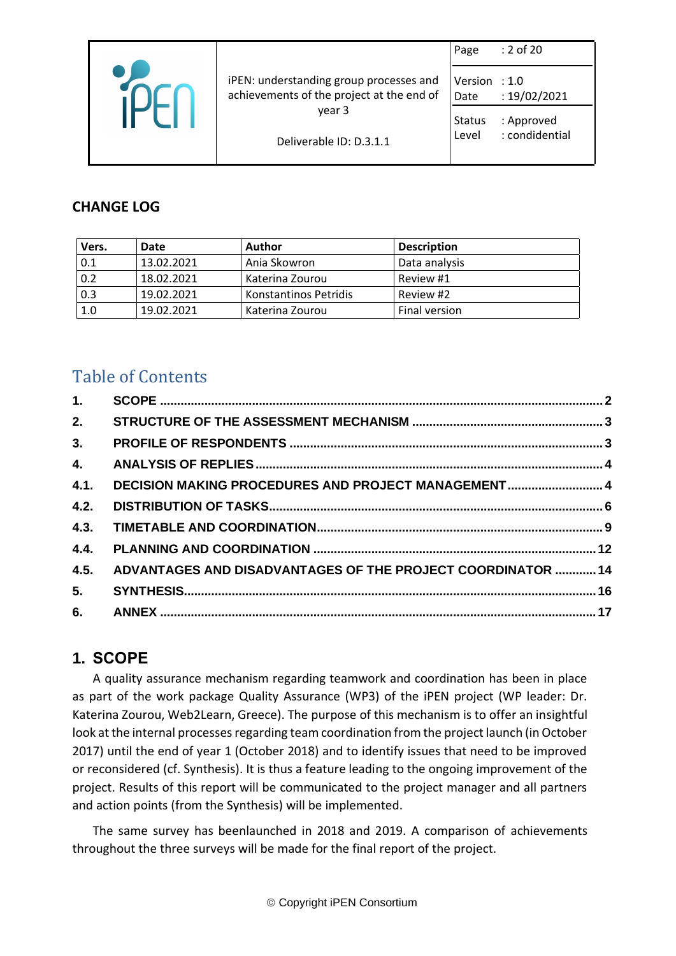|                                                                                      | Page                   | : 2 of 20                    |
|--------------------------------------------------------------------------------------|------------------------|------------------------------|
| iPEN: understanding group processes and<br>achievements of the project at the end of | Version : 1.0<br>Date  | : 19/02/2021                 |
| year 3<br>Deliverable ID: D.3.1.1                                                    | <b>Status</b><br>Level | : Approved<br>: condidential |

## **CHANGE LOG**

| Vers. | Date       | Author                | <b>Description</b> |
|-------|------------|-----------------------|--------------------|
| 0.1   | 13.02.2021 | Ania Skowron          | Data analysis      |
| 0.2   | 18.02.2021 | Katerina Zourou       | Review #1          |
| 0.3   | 19.02.2021 | Konstantinos Petridis | Review #2          |
| 1.0   | 19.02.2021 | Katerina Zourou       | Final version      |

# Table of Contents

| 1.   |                                                             |  |
|------|-------------------------------------------------------------|--|
| 2.   |                                                             |  |
| 3.   |                                                             |  |
| 4.   |                                                             |  |
| 4.1. | DECISION MAKING PROCEDURES AND PROJECT MANAGEMENT 4         |  |
| 4.2. |                                                             |  |
| 4.3. |                                                             |  |
| 4.4. |                                                             |  |
| 4.5. | ADVANTAGES AND DISADVANTAGES OF THE PROJECT COORDINATOR  14 |  |
| 5.   |                                                             |  |
| 6.   |                                                             |  |

## <span id="page-1-0"></span>**1. SCOPE**

A quality assurance mechanism regarding teamwork and coordination has been in place as part of the work package Quality Assurance (WP3) of the iPEN project (WP leader: Dr. Katerina Zourou, Web2Learn, Greece). The purpose of this mechanism is to offer an insightful look at the internal processes regarding team coordination from the project launch (in October 2017) until the end of year 1 (October 2018) and to identify issues that need to be improved or reconsidered (cf. Synthesis). It is thus a feature leading to the ongoing improvement of the project. Results of this report will be communicated to the project manager and all partners and action points (from the Synthesis) will be implemented.

The same survey has beenlaunched in 2018 and 2019. A comparison of achievements throughout the three surveys will be made for the final report of the project.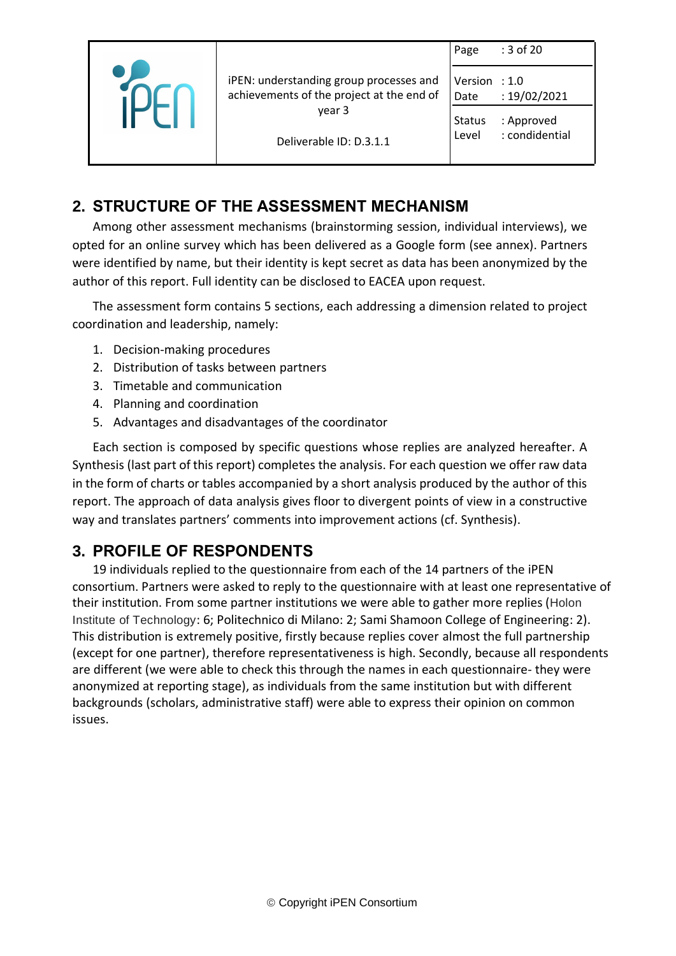|                                           | Page          | : 3 of 20        |
|-------------------------------------------|---------------|------------------|
| iPEN: understanding group processes and   | Version       | $\therefore$ 1.0 |
| achievements of the project at the end of | Date          | : 19/02/2021     |
| year 3                                    | <b>Status</b> | : Approved       |
| Deliverable ID: D.3.1.1                   | Level         | : condidential   |
|                                           |               |                  |

## <span id="page-2-0"></span>**2. STRUCTURE OF THE ASSESSMENT MECHANISM**

Among other assessment mechanisms (brainstorming session, individual interviews), we opted for an online survey which has been delivered as a Google form (see annex). Partners were identified by name, but their identity is kept secret as data has been anonymized by the author of this report. Full identity can be disclosed to EACEA upon request.

The assessment form contains 5 sections, each addressing a dimension related to project coordination and leadership, namely:

- 1. Decision-making procedures
- 2. Distribution of tasks between partners
- 3. Timetable and communication
- 4. Planning and coordination
- 5. Advantages and disadvantages of the coordinator

Each section is composed by specific questions whose replies are analyzed hereafter. A Synthesis (last part of this report) completes the analysis. For each question we offer raw data in the form of charts or tables accompanied by a short analysis produced by the author of this report. The approach of data analysis gives floor to divergent points of view in a constructive way and translates partners' comments into improvement actions (cf. Synthesis).

## <span id="page-2-1"></span>**3. PROFILE OF RESPONDENTS**

19 individuals replied to the questionnaire from each of the 14 partners of the iPEN consortium. Partners were asked to reply to the questionnaire with at least one representative of their institution. From some partner institutions we were able to gather more replies (Holon Institute of Technology: 6; Politechnico di Milano: 2; Sami Shamoon College of Engineering: 2). This distribution is extremely positive, firstly because replies cover almost the full partnership (except for one partner), therefore representativeness is high. Secondly, because all respondents are different (we were able to check this through the names in each questionnaire- they were anonymized at reporting stage), as individuals from the same institution but with different backgrounds (scholars, administrative staff) were able to express their opinion on common issues.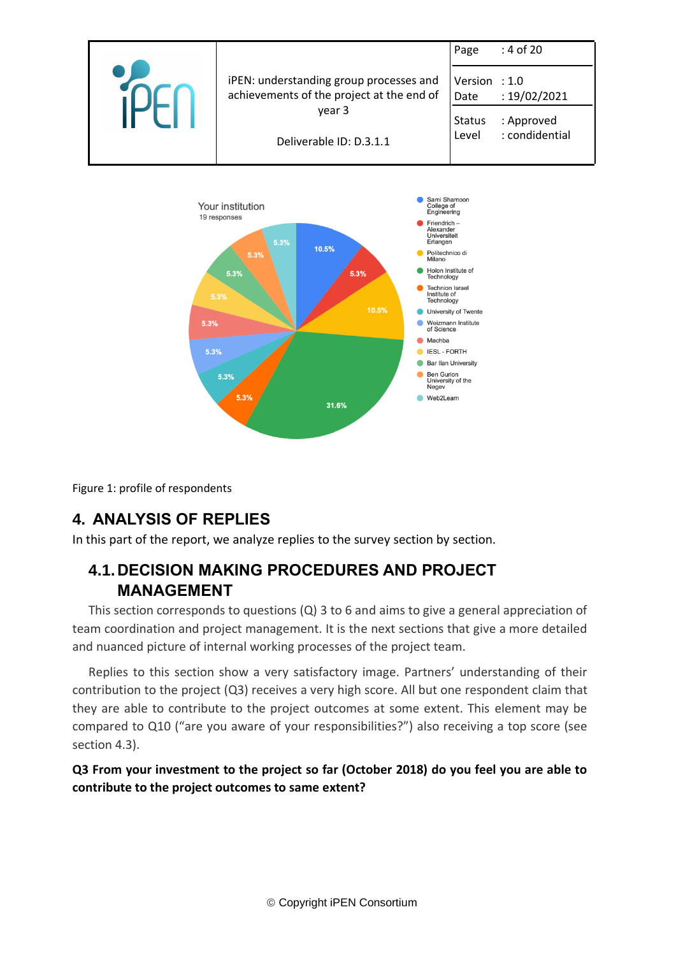



Figure 1: profile of respondents

## <span id="page-3-0"></span>**4. ANALYSIS OF REPLIES**

In this part of the report, we analyze replies to the survey section by section.

## <span id="page-3-1"></span>**4.1.DECISION MAKING PROCEDURES AND PROJECT MANAGEMENT**

This section corresponds to questions (Q) 3 to 6 and aims to give a general appreciation of team coordination and project management. It is the next sections that give a more detailed and nuanced picture of internal working processes of the project team.

Replies to this section show a very satisfactory image. Partners' understanding of their contribution to the project (Q3) receives a very high score. All but one respondent claim that they are able to contribute to the project outcomes at some extent. This element may be compared to Q10 ("are you aware of your responsibilities?") also receiving a top score (see section 4.3).

**Q3 From your investment to the project so far (October 2018) do you feel you are able to contribute to the project outcomes to same extent?**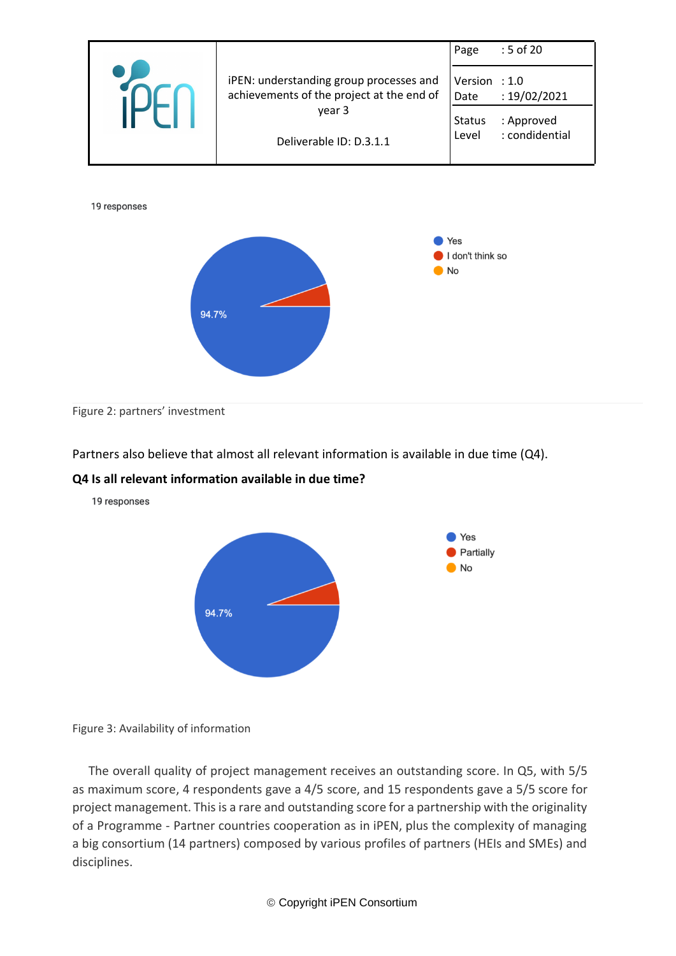

Figure 2: partners' investment

Partners also believe that almost all relevant information is available in due time (Q4).

#### **Q4 Is all relevant information available in due time?**

19 responses



Figure 3: Availability of information

The overall quality of project management receives an outstanding score. In Q5, with 5/5 as maximum score, 4 respondents gave a 4/5 score, and 15 respondents gave a 5/5 score for project management. This is a rare and outstanding score for a partnership with the originality of a Programme - Partner countries cooperation as in iPEN, plus the complexity of managing a big consortium (14 partners) composed by various profiles of partners (HEIs and SMEs) and disciplines.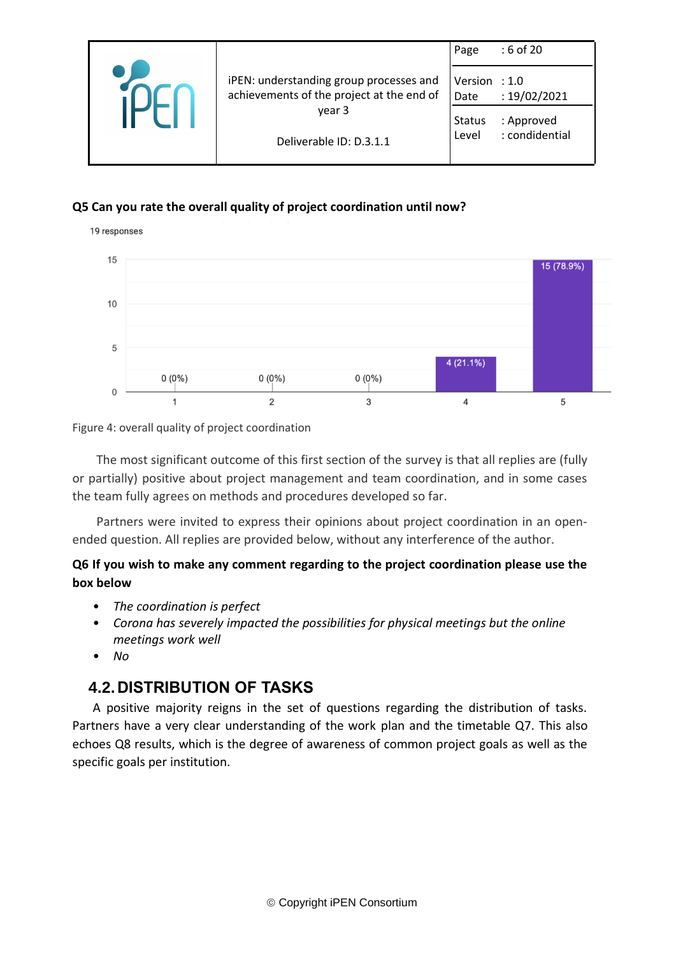|                                                                                                                           | Page                                              | : 6 of 20                                    |
|---------------------------------------------------------------------------------------------------------------------------|---------------------------------------------------|----------------------------------------------|
| iPEN: understanding group processes and<br>achievements of the project at the end of<br>year 3<br>Deliverable ID: D.3.1.1 | Version $: 1.0$<br>Date<br><b>Status</b><br>Level | : 19/02/2021<br>: Approved<br>: condidential |

### **Q5 Can you rate the overall quality of project coordination until now?**



Figure 4: overall quality of project coordination

The most significant outcome of this first section of the survey is that all replies are (fully or partially) positive about project management and team coordination, and in some cases the team fully agrees on methods and procedures developed so far.

Partners were invited to express their opinions about project coordination in an openended question. All replies are provided below, without any interference of the author.

## **Q6 If you wish to make any comment regarding to the project coordination please use the box below**

- *The coordination is perfect*
- *Corona has severely impacted the possibilities for physical meetings but the online meetings work well*
- *No*

## <span id="page-5-0"></span>**4.2.DISTRIBUTION OF TASKS**

A positive majority reigns in the set of questions regarding the distribution of tasks. Partners have a very clear understanding of the work plan and the timetable Q7. This also echoes Q8 results, which is the degree of awareness of common project goals as well as the specific goals per institution.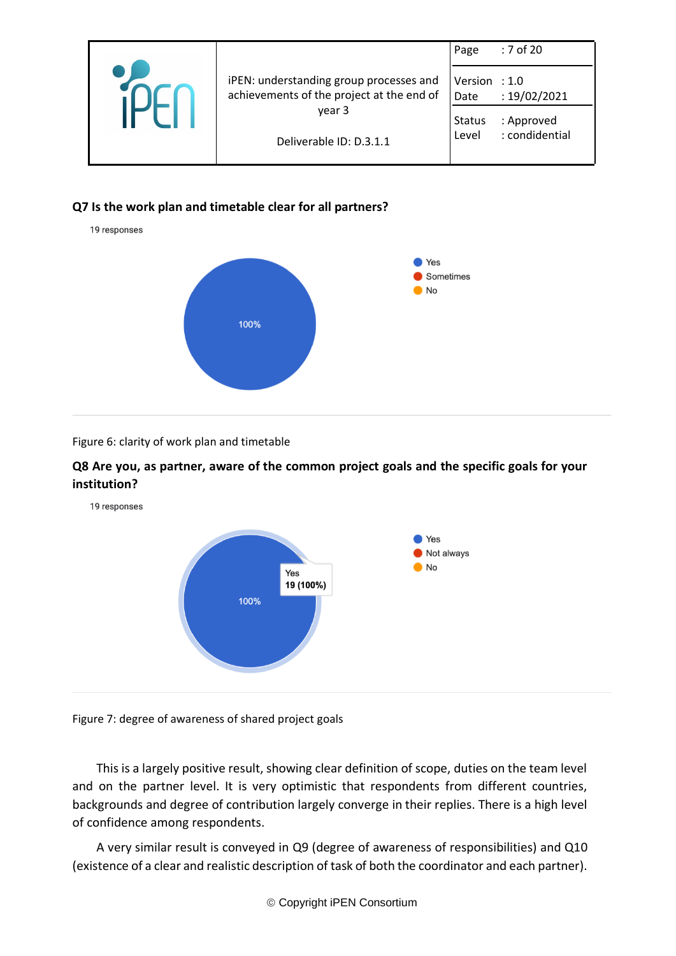|                                                                                                                           | Page                                              | $:7$ of 20                                   |
|---------------------------------------------------------------------------------------------------------------------------|---------------------------------------------------|----------------------------------------------|
| iPEN: understanding group processes and<br>achievements of the project at the end of<br>year 3<br>Deliverable ID: D.3.1.1 | Version : $1.0$<br>Date<br><b>Status</b><br>Level | : 19/02/2021<br>: Approved<br>: condidential |
|                                                                                                                           |                                                   |                                              |

### **Q7 Is the work plan and timetable clear for all partners?**



#### Figure 6: clarity of work plan and timetable

#### **Q8 Are you, as partner, aware of the common project goals and the specific goals for your institution?**





Figure 7: degree of awareness of shared project goals

This is a largely positive result, showing clear definition of scope, duties on the team level and on the partner level. It is very optimistic that respondents from different countries, backgrounds and degree of contribution largely converge in their replies. There is a high level of confidence among respondents.

A very similar result is conveyed in Q9 (degree of awareness of responsibilities) and Q10 (existence of a clear and realistic description of task of both the coordinator and each partner).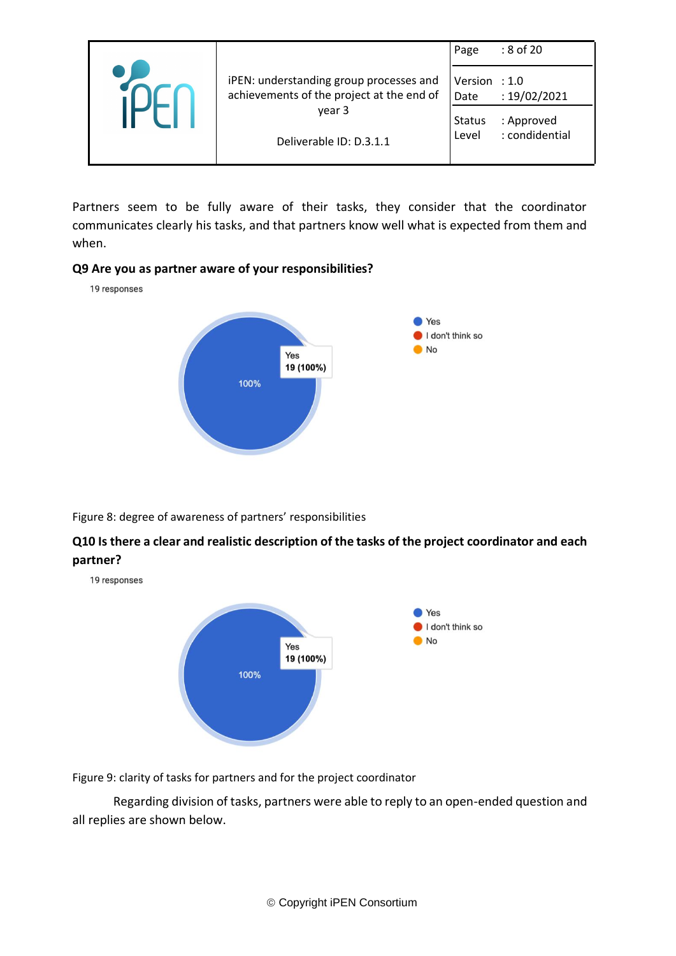|                                                                                      | Page                    | : 8 of 20                    |
|--------------------------------------------------------------------------------------|-------------------------|------------------------------|
| iPEN: understanding group processes and<br>achievements of the project at the end of | Version $: 1.0$<br>Date | : 19/02/2021                 |
| year 3<br>Deliverable ID: D.3.1.1                                                    | Status<br>Level         | : Approved<br>: condidential |
|                                                                                      |                         |                              |

Partners seem to be fully aware of their tasks, they consider that the coordinator communicates clearly his tasks, and that partners know well what is expected from them and when.

#### **Q9 Are you as partner aware of your responsibilities?**

19 responses



Figure 8: degree of awareness of partners' responsibilities

### **Q10 Is there a clear and realistic description of the tasks of the project coordinator and each partner?**

19 responses



Figure 9: clarity of tasks for partners and for the project coordinator

Regarding division of tasks, partners were able to reply to an open-ended question and all replies are shown below.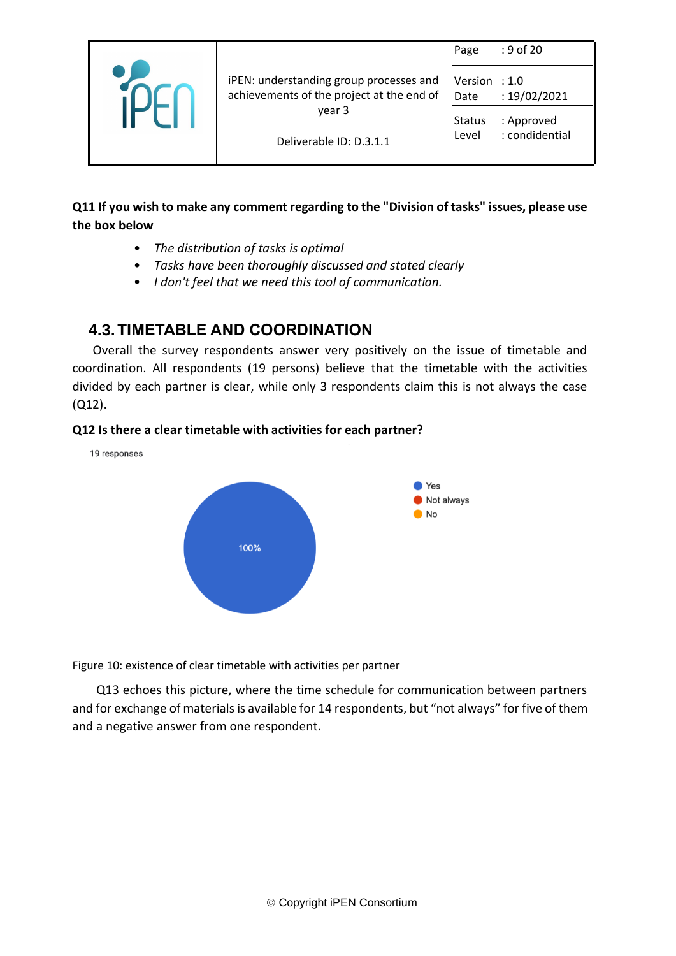|                                                                                      | Page                   | : 9 of 20                    |
|--------------------------------------------------------------------------------------|------------------------|------------------------------|
| iPEN: understanding group processes and<br>achievements of the project at the end of | Version : 1.0<br>Date  | : 19/02/2021                 |
| year 3<br>Deliverable ID: D.3.1.1                                                    | <b>Status</b><br>Level | : Approved<br>: condidential |
|                                                                                      |                        |                              |

## **Q11 If you wish to make any comment regarding to the "Division of tasks" issues, please use the box below**

- *The distribution of tasks is optimal*
- *Tasks have been thoroughly discussed and stated clearly*
- *I don't feel that we need this tool of communication.*

## <span id="page-8-0"></span>**4.3.TIMETABLE AND COORDINATION**

Overall the survey respondents answer very positively on the issue of timetable and coordination. All respondents (19 persons) believe that the timetable with the activities divided by each partner is clear, while only 3 respondents claim this is not always the case (Q12).

#### **Q12 Is there a clear timetable with activities for each partner?**



Figure 10: existence of clear timetable with activities per partner

Q13 echoes this picture, where the time schedule for communication between partners and for exchange of materials is available for 14 respondents, but "not always" for five of them and a negative answer from one respondent.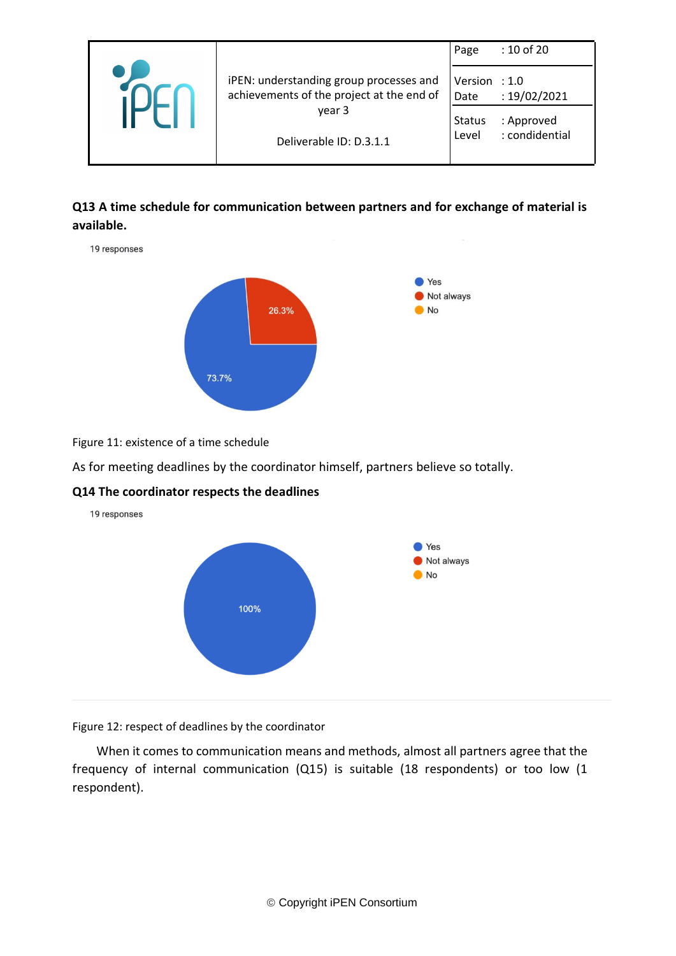|                                                                                                                           | Page                                              | : 10 of 20                                   |
|---------------------------------------------------------------------------------------------------------------------------|---------------------------------------------------|----------------------------------------------|
| iPEN: understanding group processes and<br>achievements of the project at the end of<br>year 3<br>Deliverable ID: D.3.1.1 | Version $: 1.0$<br>Date<br><b>Status</b><br>Level | : 19/02/2021<br>: Approved<br>: condidential |

### **Q13 A time schedule for communication between partners and for exchange of material is available.**

19 responses



Figure 11: existence of a time schedule

As for meeting deadlines by the coordinator himself, partners believe so totally.

#### **Q14 The coordinator respects the deadlines**



Figure 12: respect of deadlines by the coordinator

When it comes to communication means and methods, almost all partners agree that the frequency of internal communication (Q15) is suitable (18 respondents) or too low (1 respondent).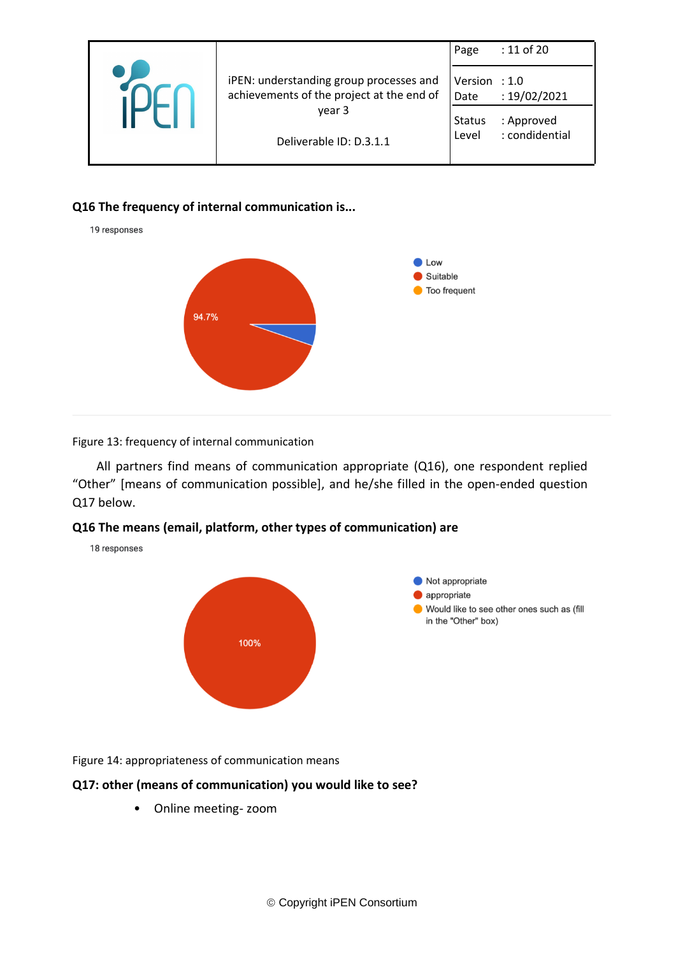|                                                                                                                           | Page                                            | : 11 of 20                                   |
|---------------------------------------------------------------------------------------------------------------------------|-------------------------------------------------|----------------------------------------------|
| iPEN: understanding group processes and<br>achievements of the project at the end of<br>year 3<br>Deliverable ID: D.3.1.1 | Version : 1.0<br>Date<br><b>Status</b><br>Level | : 19/02/2021<br>: Approved<br>: condidential |

#### **Q16 The frequency of internal communication is...**

19 responses

18 responses



#### Figure 13: frequency of internal communication

All partners find means of communication appropriate (Q16), one respondent replied "Other" [means of communication possible], and he/she filled in the open-ended question Q17 below.

#### **Q16 The means (email, platform, other types of communication) are**

Not appropriate appropriate Would like to see other ones such as (fill in the "Other" box) 100%

Figure 14: appropriateness of communication means

#### **Q17: other (means of communication) you would like to see?**

• Online meeting- zoom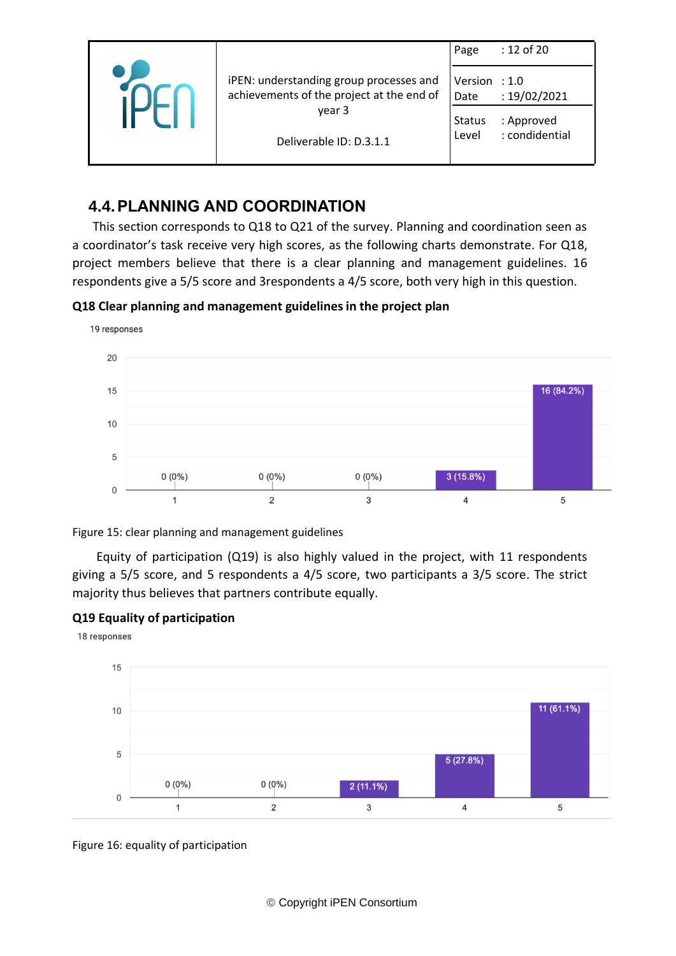|  |                                                                                      | Page                    | : 12 of 20                   |
|--|--------------------------------------------------------------------------------------|-------------------------|------------------------------|
|  | iPEN: understanding group processes and<br>achievements of the project at the end of | Version : $1.0$<br>Date | : 19/02/2021                 |
|  | year 3<br>Deliverable ID: D.3.1.1                                                    | <b>Status</b><br>Level  | : Approved<br>: condidential |
|  |                                                                                      |                         |                              |

## <span id="page-11-0"></span>**4.4.PLANNING AND COORDINATION**

This section corresponds to Q18 to Q21 of the survey. Planning and coordination seen as a coordinator's task receive very high scores, as the following charts demonstrate. For Q18, project members believe that there is a clear planning and management guidelines. 16 respondents give a 5/5 score and 3respondents a 4/5 score, both very high in this question.

**Q18 Clear planning and management guidelines in the project plan**



Figure 15: clear planning and management guidelines

Equity of participation (Q19) is also highly valued in the project, with 11 respondents giving a 5/5 score, and 5 respondents a 4/5 score, two participants a 3/5 score. The strict majority thus believes that partners contribute equally.

### **Q19 Equality of participation**



Figure 16: equality of participation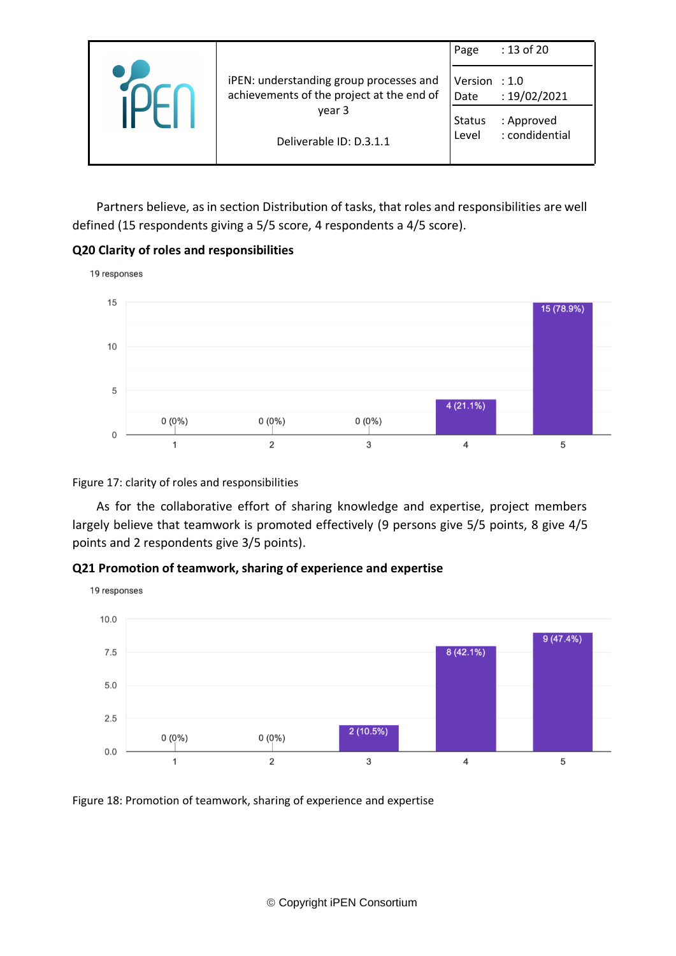|                                                                                                                           | Page                                            | : 13 of 20                                   |
|---------------------------------------------------------------------------------------------------------------------------|-------------------------------------------------|----------------------------------------------|
| iPEN: understanding group processes and<br>achievements of the project at the end of<br>year 3<br>Deliverable ID: D.3.1.1 | Version : 1.0<br>Date<br><b>Status</b><br>Level | : 19/02/2021<br>: Approved<br>: condidential |

Partners believe, as in section Distribution of tasks, that roles and responsibilities are well defined (15 respondents giving a 5/5 score, 4 respondents a 4/5 score).

#### **Q20 Clarity of roles and responsibilities**



#### Figure 17: clarity of roles and responsibilities

As for the collaborative effort of sharing knowledge and expertise, project members largely believe that teamwork is promoted effectively (9 persons give 5/5 points, 8 give 4/5 points and 2 respondents give 3/5 points).

#### **Q21 Promotion of teamwork, sharing of experience and expertise**



Figure 18: Promotion of teamwork, sharing of experience and expertise

© Copyright iPEN Consortium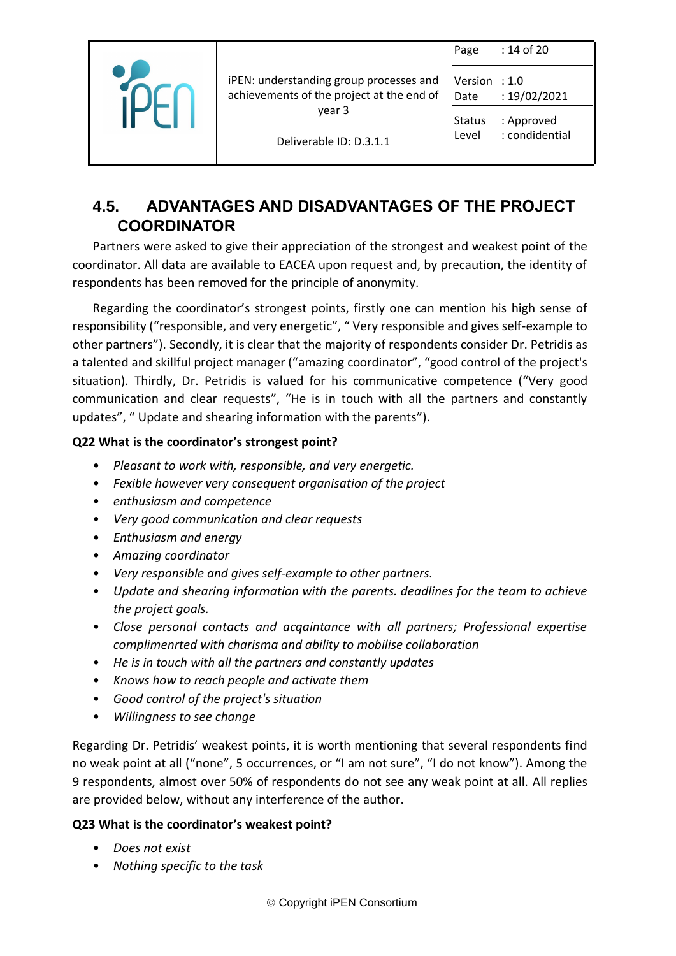|                                                                                      | Page                    | : 14 of 20                   |
|--------------------------------------------------------------------------------------|-------------------------|------------------------------|
| iPEN: understanding group processes and<br>achievements of the project at the end of | Version $: 1.0$<br>Date | : 19/02/2021                 |
| year 3<br>Deliverable ID: D.3.1.1                                                    | Status<br>Level         | : Approved<br>: condidential |
|                                                                                      |                         |                              |

## <span id="page-13-0"></span>**4.5. ADVANTAGES AND DISADVANTAGES OF THE PROJECT COORDINATOR**

Partners were asked to give their appreciation of the strongest and weakest point of the coordinator. All data are available to EACEA upon request and, by precaution, the identity of respondents has been removed for the principle of anonymity.

Regarding the coordinator's strongest points, firstly one can mention his high sense of responsibility ("responsible, and very energetic", " Very responsible and gives self-example to other partners"). Secondly, it is clear that the majority of respondents consider Dr. Petridis as a talented and skillful project manager ("amazing coordinator", "good control of the project's situation). Thirdly, Dr. Petridis is valued for his communicative competence ("Very good communication and clear requests", "He is in touch with all the partners and constantly updates", " Update and shearing information with the parents").

#### **Q22 What is the coordinator's strongest point?**

- *Pleasant to work with, responsible, and very energetic.*
- *Fexible however very consequent organisation of the project*
- *enthusiasm and competence*
- *Very good communication and clear requests*
- *Enthusiasm and energy*
- *Amazing coordinator*
- *Very responsible and gives self-example to other partners.*
- *Update and shearing information with the parents. deadlines for the team to achieve the project goals.*
- *Close personal contacts and acqaintance with all partners; Professional expertise complimenrted with charisma and ability to mobilise collaboration*
- *He is in touch with all the partners and constantly updates*
- *Knows how to reach people and activate them*
- *Good control of the project's situation*
- *Willingness to see change*

Regarding Dr. Petridis' weakest points, it is worth mentioning that several respondents find no weak point at all ("none", 5 occurrences, or "I am not sure", "I do not know"). Among the 9 respondents, almost over 50% of respondents do not see any weak point at all. All replies are provided below, without any interference of the author.

#### **Q23 What is the coordinator's weakest point?**

- *Does not exist*
- *Nothing specific to the task*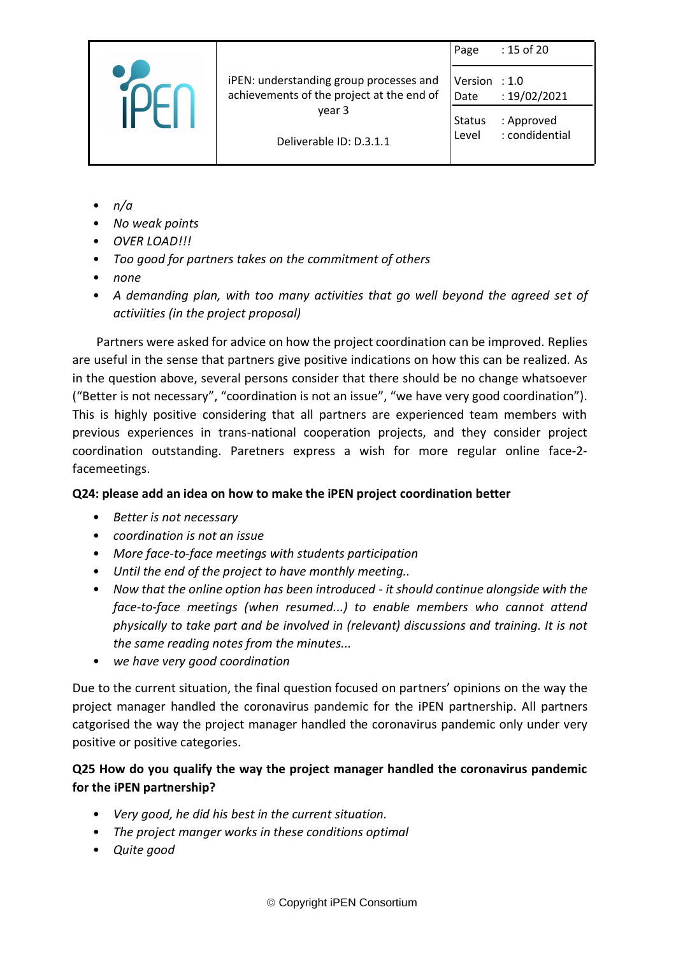|                                                                                                                           | Page                   | : 15 of 20                   |
|---------------------------------------------------------------------------------------------------------------------------|------------------------|------------------------------|
| iPEN: understanding group processes and<br>achievements of the project at the end of<br>year 3<br>Deliverable ID: D.3.1.1 | Version : 1.0<br>Date  | : 19/02/2021                 |
|                                                                                                                           | <b>Status</b><br>Level | : Approved<br>: condidential |

- *n/a*
- *No weak points*
- *OVER LOAD!!!*
- *Too good for partners takes on the commitment of others*
- *none*
- *A demanding plan, with too many activities that go well beyond the agreed set of activiities (in the project proposal)*

Partners were asked for advice on how the project coordination can be improved. Replies are useful in the sense that partners give positive indications on how this can be realized. As in the question above, several persons consider that there should be no change whatsoever ("Better is not necessary", "coordination is not an issue", "we have very good coordination"). This is highly positive considering that all partners are experienced team members with previous experiences in trans-national cooperation projects, and they consider project coordination outstanding. Paretners express a wish for more regular online face-2 facemeetings.

### **Q24: please add an idea on how to make the iPEN project coordination better**

- *Better is not necessary*
- *coordination is not an issue*
- *More face-to-face meetings with students participation*
- *Until the end of the project to have monthly meeting..*
- *Now that the online option has been introduced - it should continue alongside with the face-to-face meetings (when resumed...) to enable members who cannot attend physically to take part and be involved in (relevant) discussions and training. It is not the same reading notes from the minutes...*
- *we have very good coordination*

Due to the current situation, the final question focused on partners' opinions on the way the project manager handled the coronavirus pandemic for the iPEN partnership. All partners catgorised the way the project manager handled the coronavirus pandemic only under very positive or positive categories.

### **Q25 How do you qualify the way the project manager handled the coronavirus pandemic for the iPEN partnership?**

- *Very good, he did his best in the current situation.*
- *The project manger works in these conditions optimal*
- *Quite good*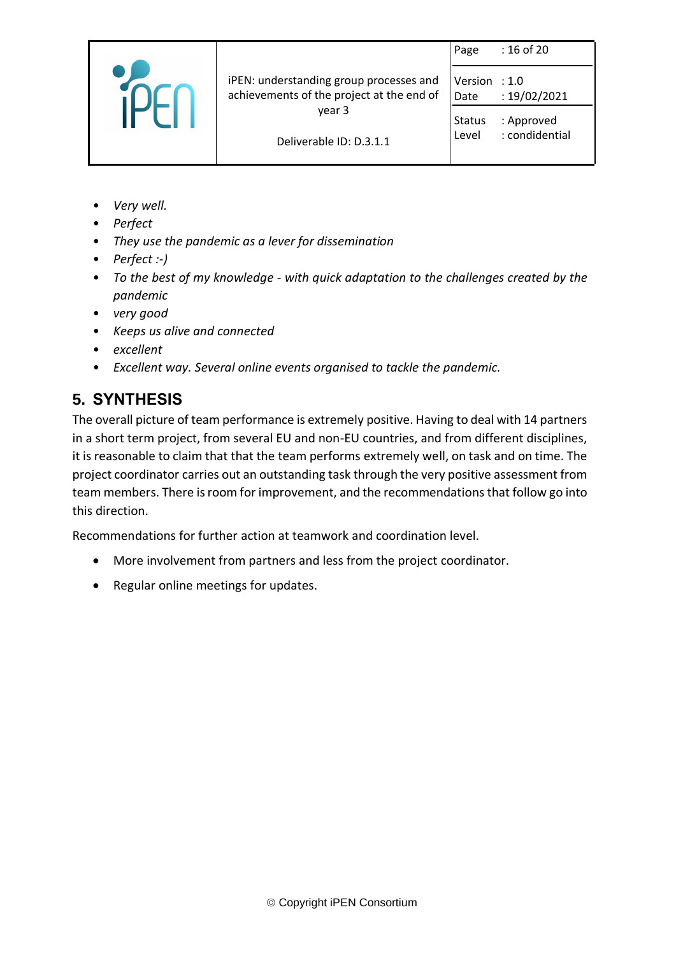|                                                                                                                           | Page                    | : 16 of 20                   |
|---------------------------------------------------------------------------------------------------------------------------|-------------------------|------------------------------|
| iPEN: understanding group processes and<br>achievements of the project at the end of<br>year 3<br>Deliverable ID: D.3.1.1 | Version : $1.0$<br>Date | : 19/02/2021                 |
|                                                                                                                           | Status<br>Level         | : Approved<br>: condidential |
|                                                                                                                           |                         |                              |

- *Very well.*
- *Perfect*
- *They use the pandemic as a lever for dissemination*
- *Perfect :-)*
- *To the best of my knowledge - with quick adaptation to the challenges created by the pandemic*
- *very good*
- *Keeps us alive and connected*
- *excellent*
- *Excellent way. Several online events organised to tackle the pandemic.*

# <span id="page-15-0"></span>**5. SYNTHESIS**

The overall picture of team performance is extremely positive. Having to deal with 14 partners in a short term project, from several EU and non-EU countries, and from different disciplines, it is reasonable to claim that that the team performs extremely well, on task and on time. The project coordinator carries out an outstanding task through the very positive assessment from team members. There is room for improvement, and the recommendations that follow go into this direction.

Recommendations for further action at teamwork and coordination level.

- More involvement from partners and less from the project coordinator.
- Regular online meetings for updates.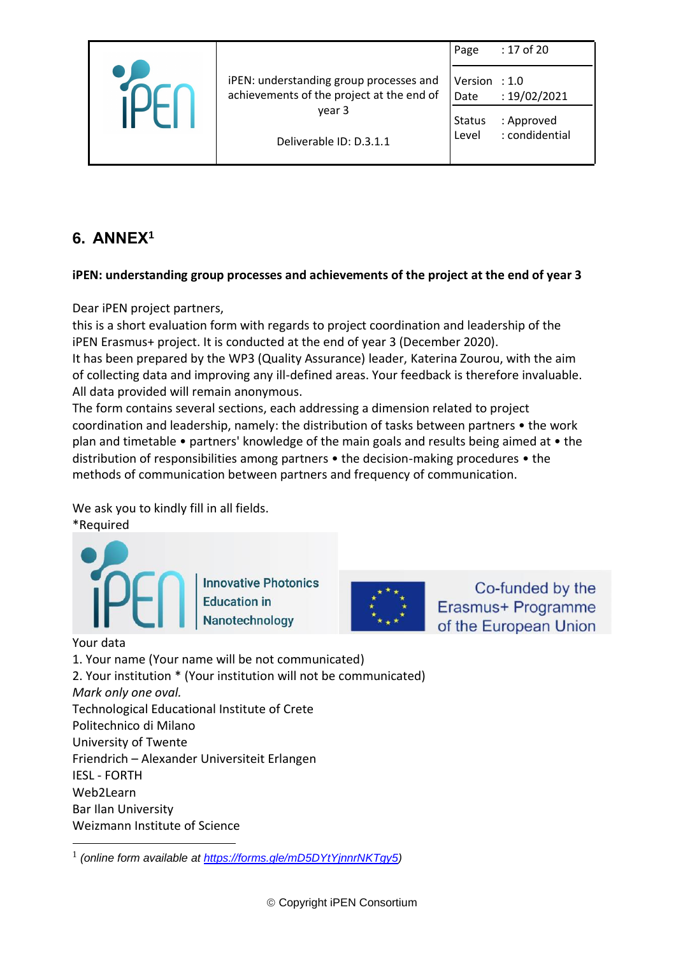|                                                                                      | Page                    | : 17 of 20                   |
|--------------------------------------------------------------------------------------|-------------------------|------------------------------|
| iPEN: understanding group processes and<br>achievements of the project at the end of | Version $: 1.0$<br>Date | : 19/02/2021                 |
| year 3<br>Deliverable ID: D.3.1.1                                                    | Status<br>Level         | : Approved<br>: condidential |
|                                                                                      |                         |                              |

# <span id="page-16-0"></span>**6. ANNEX<sup>1</sup>**

#### **iPEN: understanding group processes and achievements of the project at the end of year 3**

Dear iPEN project partners,

this is a short evaluation form with regards to project coordination and leadership of the iPEN Erasmus+ project. It is conducted at the end of year 3 (December 2020).

It has been prepared by the WP3 (Quality Assurance) leader, Katerina Zourou, with the aim of collecting data and improving any ill-defined areas. Your feedback is therefore invaluable. All data provided will remain anonymous.

The form contains several sections, each addressing a dimension related to project coordination and leadership, namely: the distribution of tasks between partners • the work plan and timetable • partners' knowledge of the main goals and results being aimed at • the distribution of responsibilities among partners • the decision-making procedures • the methods of communication between partners and frequency of communication.

We ask you to kindly fill in all fields.

\*Required



**Innovative Photonics Education in** Nanotechnology



Co-funded by the Erasmus+ Programme of the European Union

#### Your data

1. Your name (Your name will be not communicated)

2. Your institution \* (Your institution will not be communicated)

*Mark only one oval.* Technological Educational Institute of Crete

Politechnico di Milano

University of Twente

Friendrich – Alexander Universiteit Erlangen

IESL - FORTH

Web2Learn

Bar Ilan University

Weizmann Institute of Science

<sup>1</sup> *(online form available at [https://forms.gle/mD5DYtYjnnrNKTgy5\)](https://forms.gle/mD5DYtYjnnrNKTgy5)*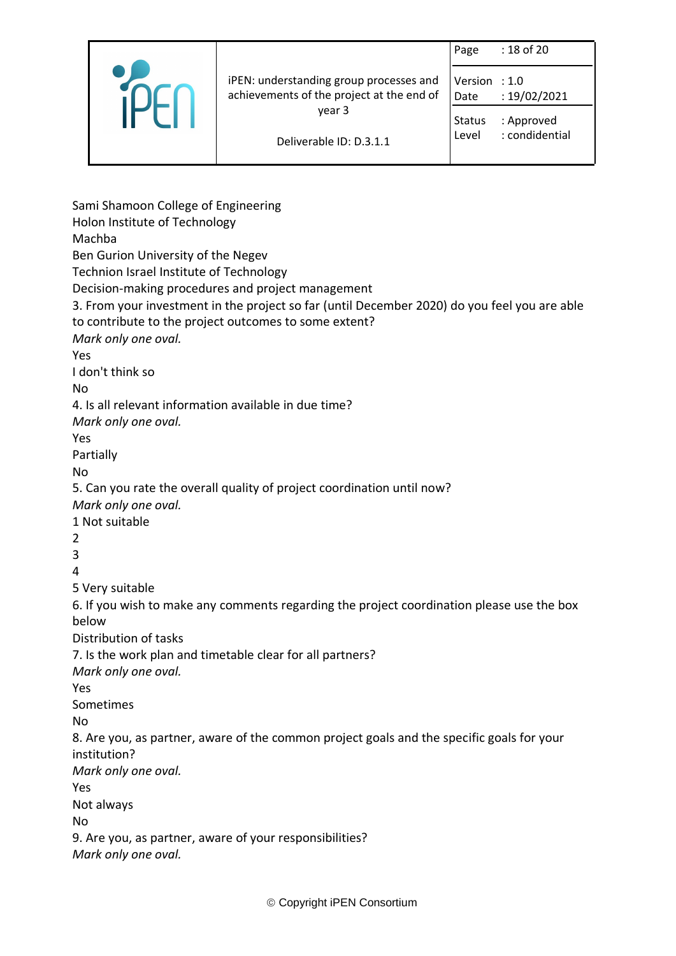|                                                                                      | Page                    | : 18 of 20     |
|--------------------------------------------------------------------------------------|-------------------------|----------------|
| iPEN: understanding group processes and<br>achievements of the project at the end of | Version $: 1.0$<br>Date | : 19/02/2021   |
| year 3                                                                               | <b>Status</b>           | : Approved     |
| Deliverable ID: D.3.1.1                                                              | Level                   | : condidential |

Sami Shamoon College of Engineering Holon Institute of Technology Machba Ben Gurion University of the Negev Technion Israel Institute of Technology Decision-making procedures and project management 3. From your investment in the project so far (until December 2020) do you feel you are able to contribute to the project outcomes to some extent? *Mark only one oval.* Yes I don't think so No 4. Is all relevant information available in due time? *Mark only one oval.* Yes Partially No 5. Can you rate the overall quality of project coordination until now? *Mark only one oval.* 1 Not suitable 2 3 4 5 Very suitable 6. If you wish to make any comments regarding the project coordination please use the box below Distribution of tasks 7. Is the work plan and timetable clear for all partners? *Mark only one oval.* Yes Sometimes No 8. Are you, as partner, aware of the common project goals and the specific goals for your institution? *Mark only one oval.* Yes Not always No 9. Are you, as partner, aware of your responsibilities? *Mark only one oval.*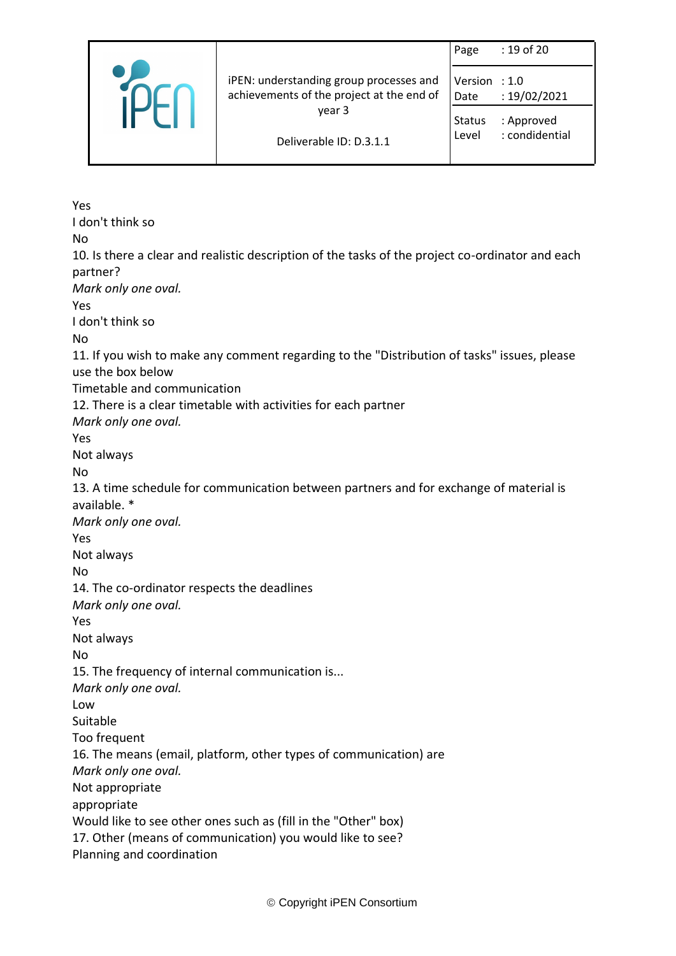|  |                                                                                      | Page            | : 19 of 20                   |
|--|--------------------------------------------------------------------------------------|-----------------|------------------------------|
|  | iPEN: understanding group processes and<br>achievements of the project at the end of | Version<br>Date | $\div$ 1.0<br>: 19/02/2021   |
|  | year 3                                                                               | Status<br>Level | : Approved<br>: condidential |
|  | Deliverable ID: D.3.1.1                                                              |                 |                              |

Yes I don't think so No 10. Is there a clear and realistic description of the tasks of the project co-ordinator and each partner? *Mark only one oval.* Yes I don't think so No 11. If you wish to make any comment regarding to the "Distribution of tasks" issues, please use the box below Timetable and communication 12. There is a clear timetable with activities for each partner *Mark only one oval.* Yes Not always No 13. A time schedule for communication between partners and for exchange of material is available. \* *Mark only one oval.* Yes Not always No 14. The co-ordinator respects the deadlines *Mark only one oval.* Yes Not always No 15. The frequency of internal communication is... *Mark only one oval.* Low Suitable Too frequent 16. The means (email, platform, other types of communication) are *Mark only one oval.* Not appropriate appropriate Would like to see other ones such as (fill in the "Other" box) 17. Other (means of communication) you would like to see? Planning and coordination